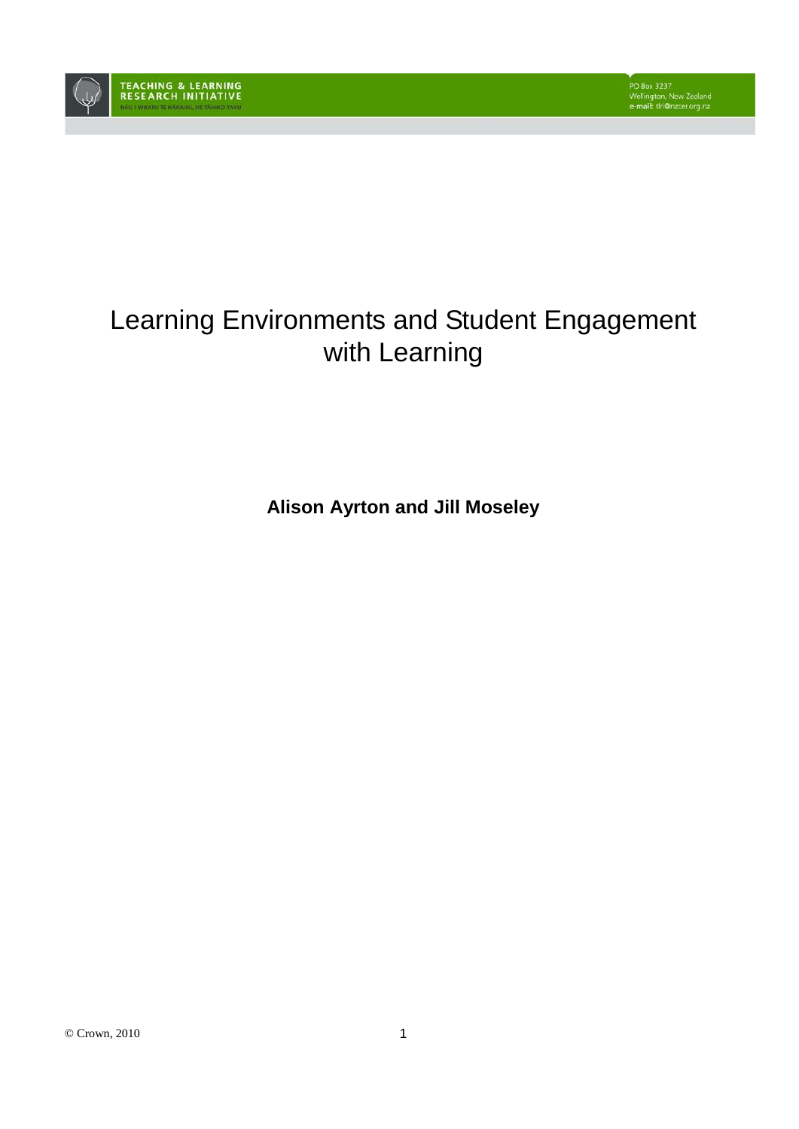

# Learning Environments and Student Engagement with Learning

**Alison Ayrton and Jill Moseley**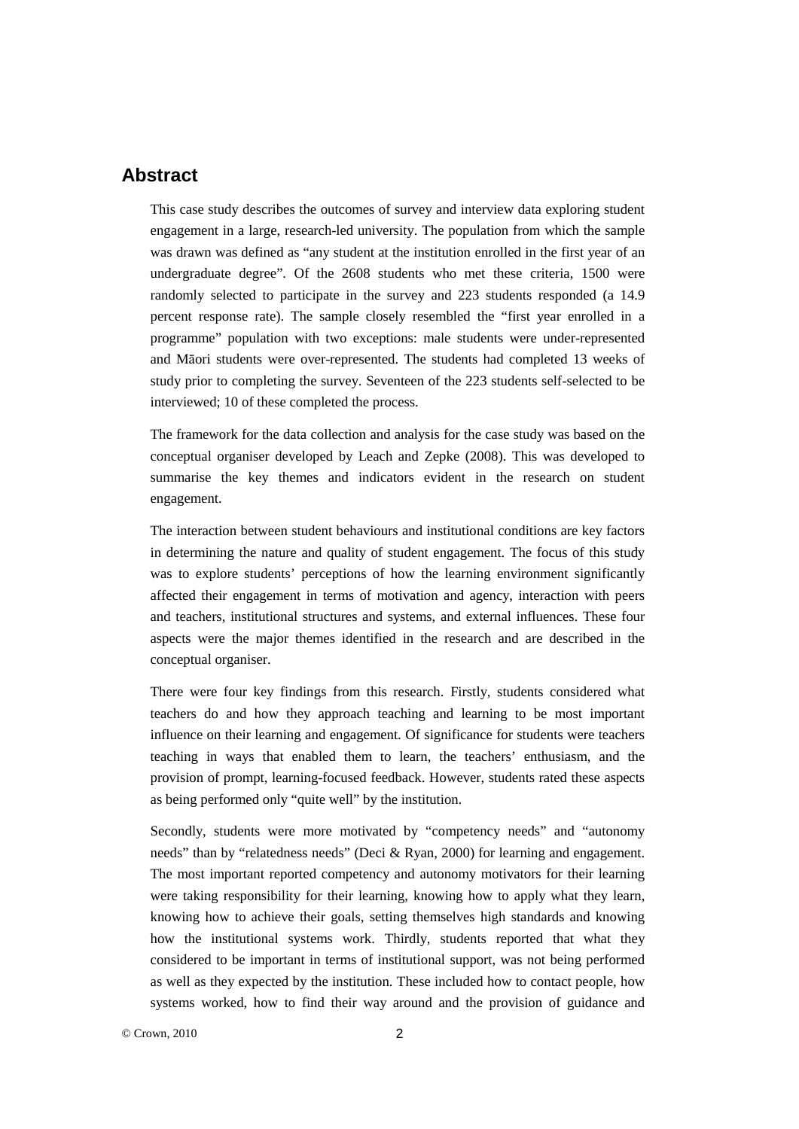## **Abstract**

This case study describes the outcomes of survey and interview data exploring student engagement in a large, research-led university. The population from which the sample was drawn was defined as "any student at the institution enrolled in the first year of an undergraduate degree". Of the 2608 students who met these criteria, 1500 were randomly selected to participate in the survey and 223 students responded (a 14.9 percent response rate). The sample closely resembled the "first year enrolled in a programme" population with two exceptions: male students were under-represented and Māori students were over-represented. The students had completed 13 weeks of study prior to completing the survey. Seventeen of the 223 students self-selected to be interviewed; 10 of these completed the process.

The framework for the data collection and analysis for the case study was based on the conceptual organiser developed by Leach and Zepke (2008). This was developed to summarise the key themes and indicators evident in the research on student engagement.

The interaction between student behaviours and institutional conditions are key factors in determining the nature and quality of student engagement. The focus of this study was to explore students' perceptions of how the learning environment significantly affected their engagement in terms of motivation and agency, interaction with peers and teachers, institutional structures and systems, and external influences. These four aspects were the major themes identified in the research and are described in the conceptual organiser.

There were four key findings from this research. Firstly, students considered what teachers do and how they approach teaching and learning to be most important influence on their learning and engagement. Of significance for students were teachers teaching in ways that enabled them to learn, the teachers' enthusiasm, and the provision of prompt, learning-focused feedback. However, students rated these aspects as being performed only "quite well" by the institution.

Secondly, students were more motivated by "competency needs" and "autonomy needs" than by "relatedness needs" (Deci & Ryan, 2000) for learning and engagement. The most important reported competency and autonomy motivators for their learning were taking responsibility for their learning, knowing how to apply what they learn, knowing how to achieve their goals, setting themselves high standards and knowing how the institutional systems work. Thirdly, students reported that what they considered to be important in terms of institutional support, was not being performed as well as they expected by the institution. These included how to contact people, how systems worked, how to find their way around and the provision of guidance and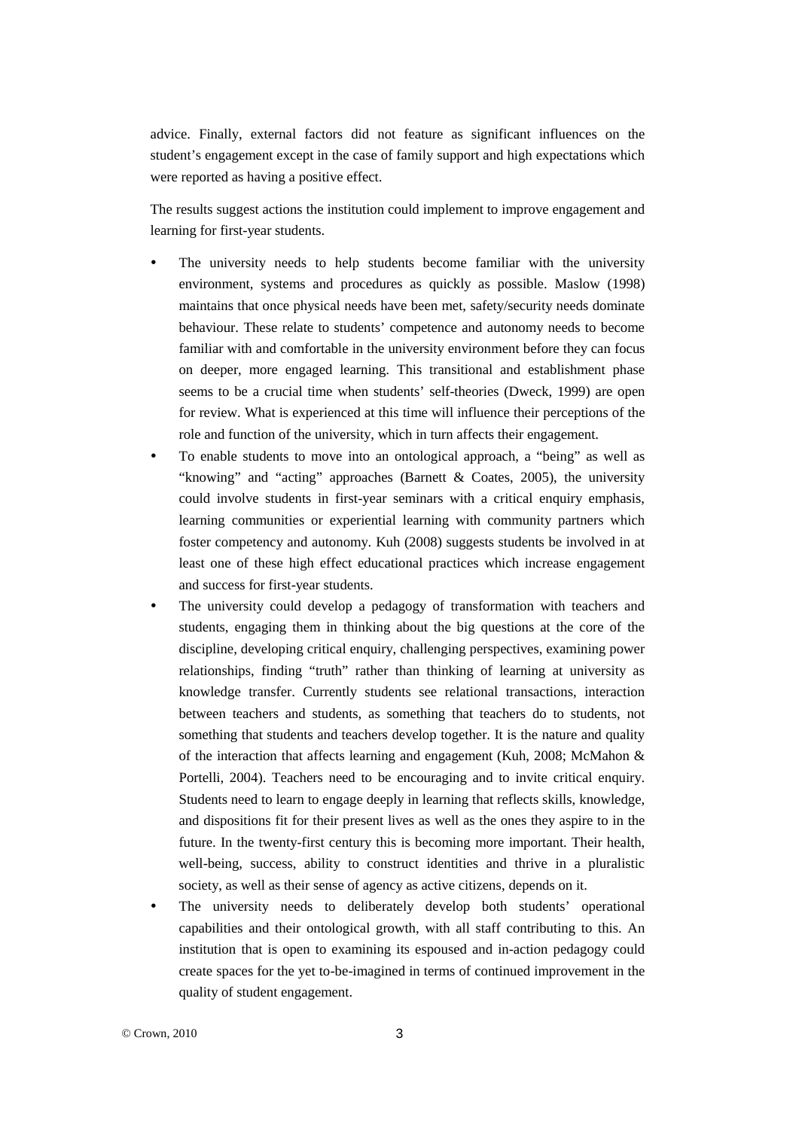advice. Finally, external factors did not feature as significant influences on the student's engagement except in the case of family support and high expectations which were reported as having a positive effect.

The results suggest actions the institution could implement to improve engagement and learning for first-year students.

- The university needs to help students become familiar with the university environment, systems and procedures as quickly as possible. Maslow (1998) maintains that once physical needs have been met, safety/security needs dominate behaviour. These relate to students' competence and autonomy needs to become familiar with and comfortable in the university environment before they can focus on deeper, more engaged learning. This transitional and establishment phase seems to be a crucial time when students' self-theories (Dweck, 1999) are open for review. What is experienced at this time will influence their perceptions of the role and function of the university, which in turn affects their engagement.
- To enable students to move into an ontological approach, a "being" as well as "knowing" and "acting" approaches (Barnett & Coates, 2005), the university could involve students in first-year seminars with a critical enquiry emphasis, learning communities or experiential learning with community partners which foster competency and autonomy. Kuh (2008) suggests students be involved in at least one of these high effect educational practices which increase engagement and success for first-year students.
- The university could develop a pedagogy of transformation with teachers and students, engaging them in thinking about the big questions at the core of the discipline, developing critical enquiry, challenging perspectives, examining power relationships, finding "truth" rather than thinking of learning at university as knowledge transfer. Currently students see relational transactions, interaction between teachers and students, as something that teachers do to students, not something that students and teachers develop together. It is the nature and quality of the interaction that affects learning and engagement (Kuh, 2008; McMahon & Portelli, 2004). Teachers need to be encouraging and to invite critical enquiry. Students need to learn to engage deeply in learning that reflects skills, knowledge, and dispositions fit for their present lives as well as the ones they aspire to in the future. In the twenty-first century this is becoming more important. Their health, well-being, success, ability to construct identities and thrive in a pluralistic society, as well as their sense of agency as active citizens, depends on it.
- The university needs to deliberately develop both students' operational capabilities and their ontological growth, with all staff contributing to this. An institution that is open to examining its espoused and in-action pedagogy could create spaces for the yet to-be-imagined in terms of continued improvement in the quality of student engagement.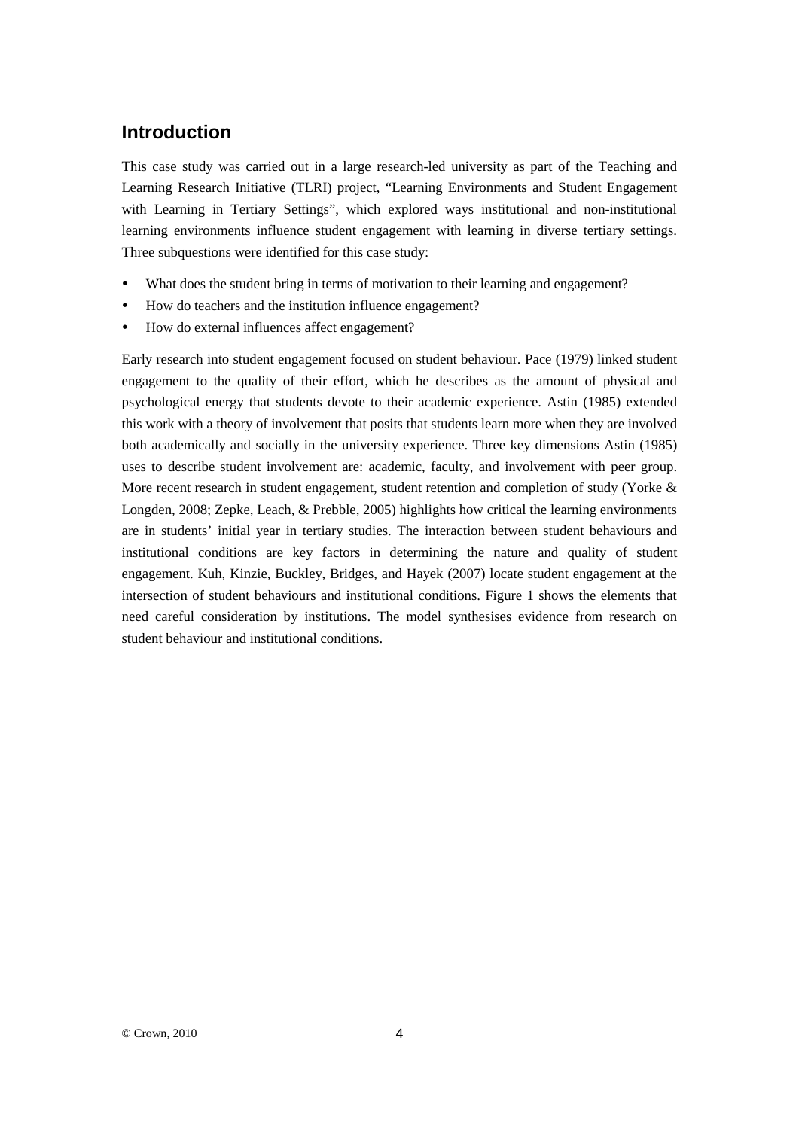# **Introduction**

This case study was carried out in a large research-led university as part of the Teaching and Learning Research Initiative (TLRI) project, "Learning Environments and Student Engagement with Learning in Tertiary Settings", which explored ways institutional and non-institutional learning environments influence student engagement with learning in diverse tertiary settings. Three subquestions were identified for this case study:

- What does the student bring in terms of motivation to their learning and engagement?
- How do teachers and the institution influence engagement?
- How do external influences affect engagement?

Early research into student engagement focused on student behaviour. Pace (1979) linked student engagement to the quality of their effort, which he describes as the amount of physical and psychological energy that students devote to their academic experience. Astin (1985) extended this work with a theory of involvement that posits that students learn more when they are involved both academically and socially in the university experience. Three key dimensions Astin (1985) uses to describe student involvement are: academic, faculty, and involvement with peer group. More recent research in student engagement, student retention and completion of study (Yorke  $\&$ Longden, 2008; Zepke, Leach, & Prebble, 2005) highlights how critical the learning environments are in students' initial year in tertiary studies. The interaction between student behaviours and institutional conditions are key factors in determining the nature and quality of student engagement. Kuh, Kinzie, Buckley, Bridges, and Hayek (2007) locate student engagement at the intersection of student behaviours and institutional conditions. Figure 1 shows the elements that need careful consideration by institutions. The model synthesises evidence from research on student behaviour and institutional conditions.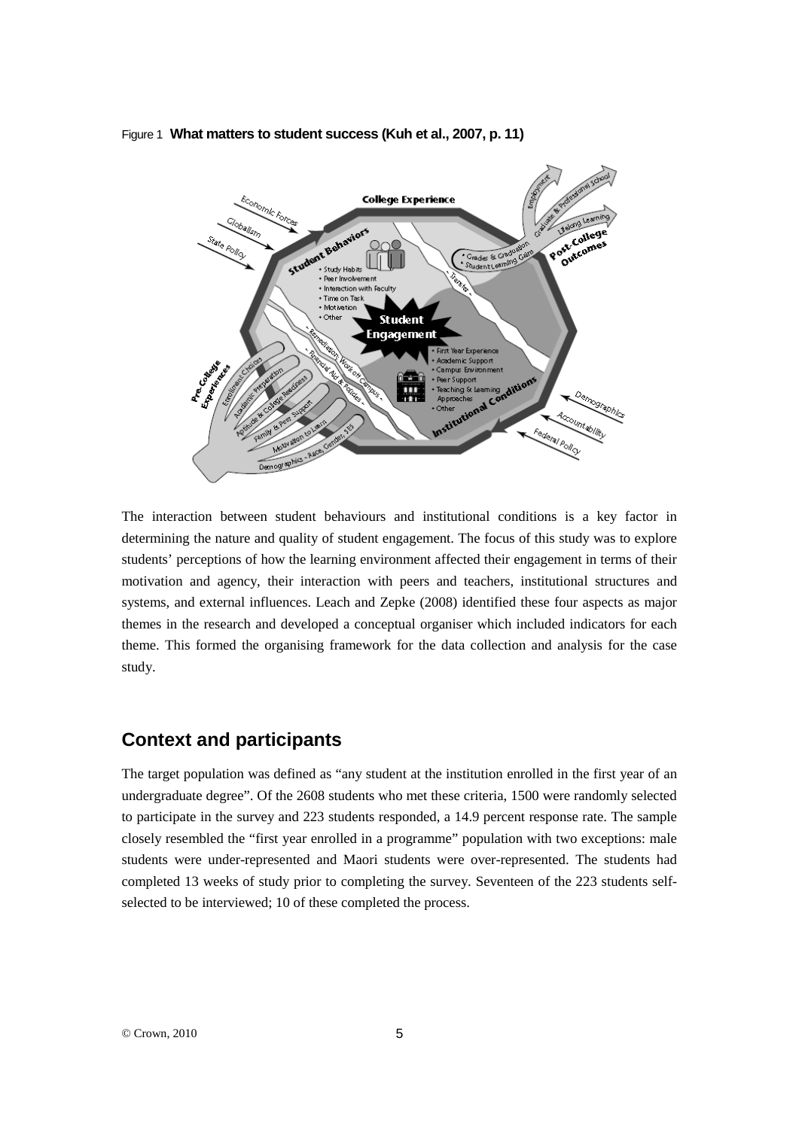Figure 1 **What matters to student success (Kuh et al., 2007, p. 11)**



The interaction between student behaviours and institutional conditions is a key factor in determining the nature and quality of student engagement. The focus of this study was to explore students' perceptions of how the learning environment affected their engagement in terms of their motivation and agency, their interaction with peers and teachers, institutional structures and systems, and external influences. Leach and Zepke (2008) identified these four aspects as major themes in the research and developed a conceptual organiser which included indicators for each theme. This formed the organising framework for the data collection and analysis for the case study.

## **Context and participants**

The target population was defined as "any student at the institution enrolled in the first year of an undergraduate degree". Of the 2608 students who met these criteria, 1500 were randomly selected to participate in the survey and 223 students responded, a 14.9 percent response rate. The sample closely resembled the "first year enrolled in a programme" population with two exceptions: male students were under-represented and Maori students were over-represented. The students had completed 13 weeks of study prior to completing the survey. Seventeen of the 223 students selfselected to be interviewed; 10 of these completed the process.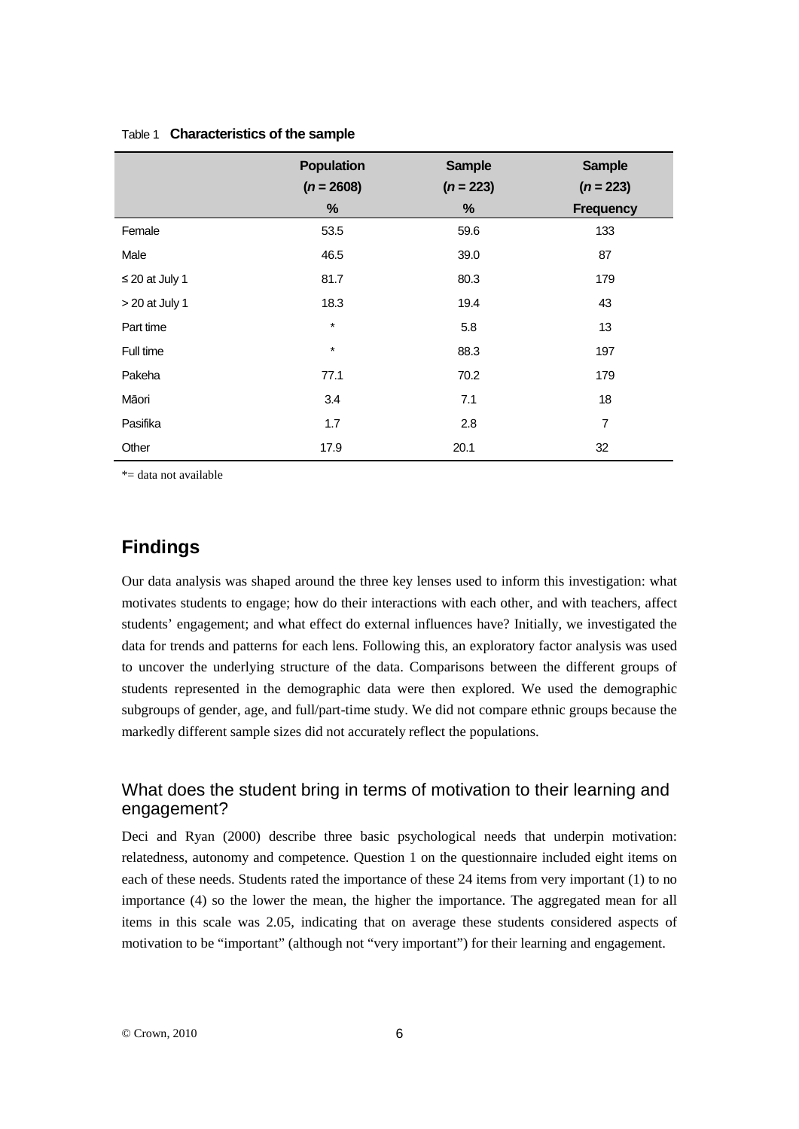|                     | <b>Population</b> | <b>Sample</b>    | <b>Sample</b>                   |
|---------------------|-------------------|------------------|---------------------------------|
|                     | $(n = 2608)$<br>% | $(n = 223)$<br>% | $(n = 223)$<br><b>Frequency</b> |
| Female              | 53.5              | 59.6             | 133                             |
| Male                | 46.5              | 39.0             | 87                              |
| $\leq$ 20 at July 1 | 81.7              | 80.3             | 179                             |
| $> 20$ at July 1    | 18.3              | 19.4             | 43                              |
| Part time           | $\star$           | 5.8              | 13                              |
| Full time           | $\star$           | 88.3             | 197                             |
| Pakeha              | 77.1              | 70.2             | 179                             |
| Māori               | 3.4               | 7.1              | 18                              |
| Pasifika            | 1.7               | 2.8              | 7                               |
| Other               | 17.9              | 20.1             | 32                              |

#### Table 1 **Characteristics of the sample**

\*= data not available

# **Findings**

Our data analysis was shaped around the three key lenses used to inform this investigation: what motivates students to engage; how do their interactions with each other, and with teachers, affect students' engagement; and what effect do external influences have? Initially, we investigated the data for trends and patterns for each lens. Following this, an exploratory factor analysis was used to uncover the underlying structure of the data. Comparisons between the different groups of students represented in the demographic data were then explored. We used the demographic subgroups of gender, age, and full/part-time study. We did not compare ethnic groups because the markedly different sample sizes did not accurately reflect the populations.

## What does the student bring in terms of motivation to their learning and engagement?

Deci and Ryan (2000) describe three basic psychological needs that underpin motivation: relatedness, autonomy and competence. Question 1 on the questionnaire included eight items on each of these needs. Students rated the importance of these 24 items from very important (1) to no importance (4) so the lower the mean, the higher the importance. The aggregated mean for all items in this scale was 2.05, indicating that on average these students considered aspects of motivation to be "important" (although not "very important") for their learning and engagement.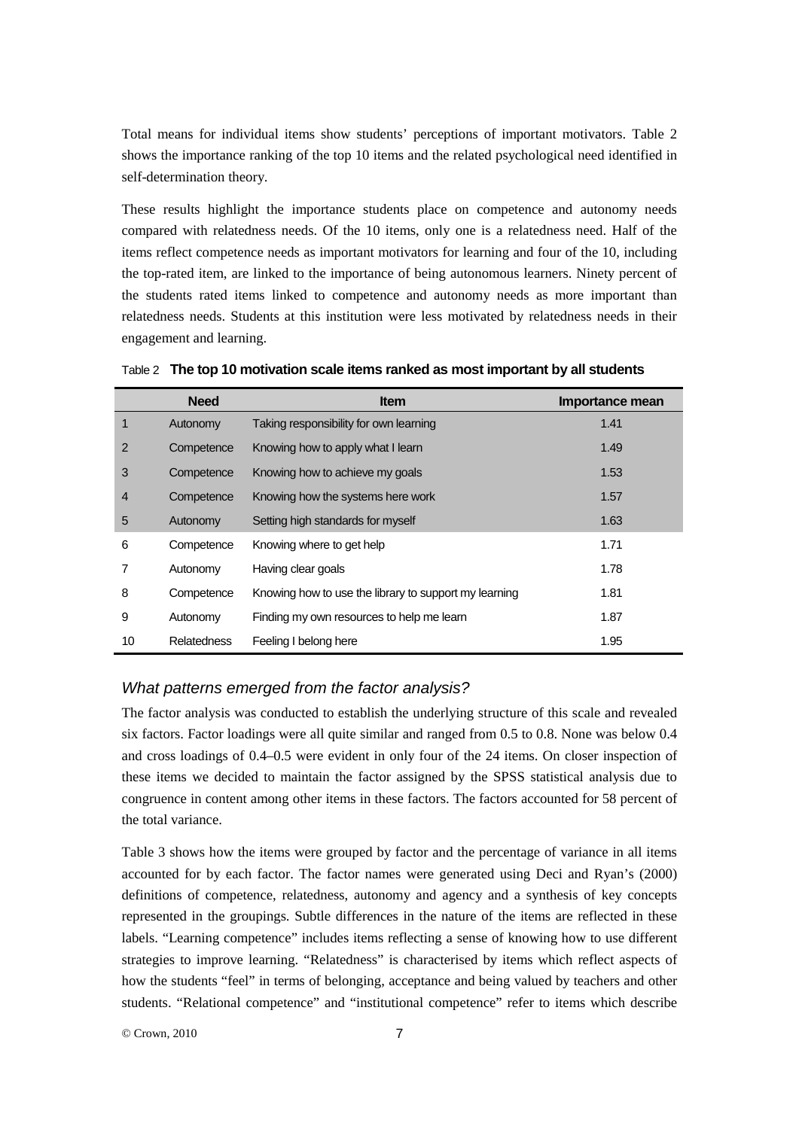Total means for individual items show students' perceptions of important motivators. Table 2 shows the importance ranking of the top 10 items and the related psychological need identified in self-determination theory.

These results highlight the importance students place on competence and autonomy needs compared with relatedness needs. Of the 10 items, only one is a relatedness need. Half of the items reflect competence needs as important motivators for learning and four of the 10, including the top-rated item, are linked to the importance of being autonomous learners. Ninety percent of the students rated items linked to competence and autonomy needs as more important than relatedness needs. Students at this institution were less motivated by relatedness needs in their engagement and learning.

|                | <b>Need</b>        | <b>Item</b>                                           | Importance mean |
|----------------|--------------------|-------------------------------------------------------|-----------------|
| $\mathbf 1$    | Autonomy           | Taking responsibility for own learning                | 1.41            |
| 2              | Competence         | Knowing how to apply what I learn                     | 1.49            |
| 3              | Competence         | Knowing how to achieve my goals                       | 1.53            |
| $\overline{4}$ | Competence         | Knowing how the systems here work                     | 1.57            |
| 5              | Autonomy           | Setting high standards for myself                     | 1.63            |
| 6              | Competence         | Knowing where to get help                             | 1.71            |
| 7              | Autonomy           | Having clear goals                                    | 1.78            |
| 8              | Competence         | Knowing how to use the library to support my learning | 1.81            |
| 9              | Autonomy           | Finding my own resources to help me learn             | 1.87            |
| 10             | <b>Relatedness</b> | Feeling I belong here                                 | 1.95            |

Table 2 **The top 10 motivation scale items ranked as most important by all students**

#### *What patterns emerged from the factor analysis?*

The factor analysis was conducted to establish the underlying structure of this scale and revealed six factors. Factor loadings were all quite similar and ranged from 0.5 to 0.8. None was below 0.4 and cross loadings of 0.4–0.5 were evident in only four of the 24 items. On closer inspection of these items we decided to maintain the factor assigned by the SPSS statistical analysis due to congruence in content among other items in these factors. The factors accounted for 58 percent of the total variance.

Table 3 shows how the items were grouped by factor and the percentage of variance in all items accounted for by each factor. The factor names were generated using Deci and Ryan's (2000) definitions of competence, relatedness, autonomy and agency and a synthesis of key concepts represented in the groupings. Subtle differences in the nature of the items are reflected in these labels. "Learning competence" includes items reflecting a sense of knowing how to use different strategies to improve learning. "Relatedness" is characterised by items which reflect aspects of how the students "feel" in terms of belonging, acceptance and being valued by teachers and other students. "Relational competence" and "institutional competence" refer to items which describe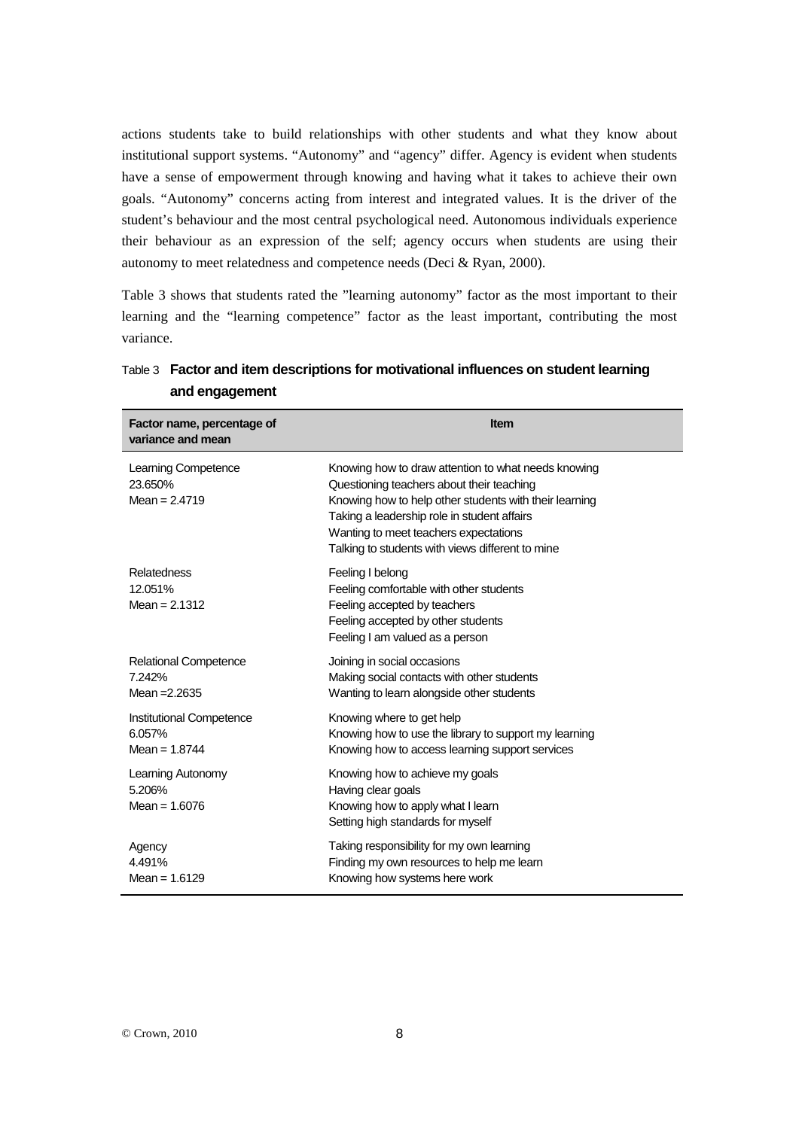actions students take to build relationships with other students and what they know about institutional support systems. "Autonomy" and "agency" differ. Agency is evident when students have a sense of empowerment through knowing and having what it takes to achieve their own goals. "Autonomy" concerns acting from interest and integrated values. It is the driver of the student's behaviour and the most central psychological need. Autonomous individuals experience their behaviour as an expression of the self; agency occurs when students are using their autonomy to meet relatedness and competence needs (Deci & Ryan, 2000).

Table 3 shows that students rated the "learning autonomy" factor as the most important to their learning and the "learning competence" factor as the least important, contributing the most variance.

| Factor name, percentage of<br>variance and mean       | <b>Item</b>                                                                                                                                                                                                                                                                                            |
|-------------------------------------------------------|--------------------------------------------------------------------------------------------------------------------------------------------------------------------------------------------------------------------------------------------------------------------------------------------------------|
| Learning Competence<br>23.650%<br>Mean = $2.4719$     | Knowing how to draw attention to what needs knowing<br>Questioning teachers about their teaching<br>Knowing how to help other students with their learning<br>Taking a leadership role in student affairs<br>Wanting to meet teachers expectations<br>Talking to students with views different to mine |
| Relatedness<br>12.051%<br>Mean = $2.1312$             | Feeling I belong<br>Feeling comfortable with other students<br>Feeling accepted by teachers<br>Feeling accepted by other students<br>Feeling I am valued as a person                                                                                                                                   |
| Relational Competence<br>7.242%<br>Mean = 2.2635      | Joining in social occasions<br>Making social contacts with other students<br>Wanting to learn alongside other students                                                                                                                                                                                 |
| Institutional Competence<br>6.057%<br>Mean = $1.8744$ | Knowing where to get help<br>Knowing how to use the library to support my learning<br>Knowing how to access learning support services                                                                                                                                                                  |
| Learning Autonomy<br>5.206%<br>Mean = $1.6076$        | Knowing how to achieve my goals<br>Having clear goals<br>Knowing how to apply what I learn<br>Setting high standards for myself                                                                                                                                                                        |
| Agency<br>4.491%<br>Mean = $1.6129$                   | Taking responsibility for my own learning<br>Finding my own resources to help me learn<br>Knowing how systems here work                                                                                                                                                                                |

| Table 3 Factor and item descriptions for motivational influences on student learning |
|--------------------------------------------------------------------------------------|
| and engagement                                                                       |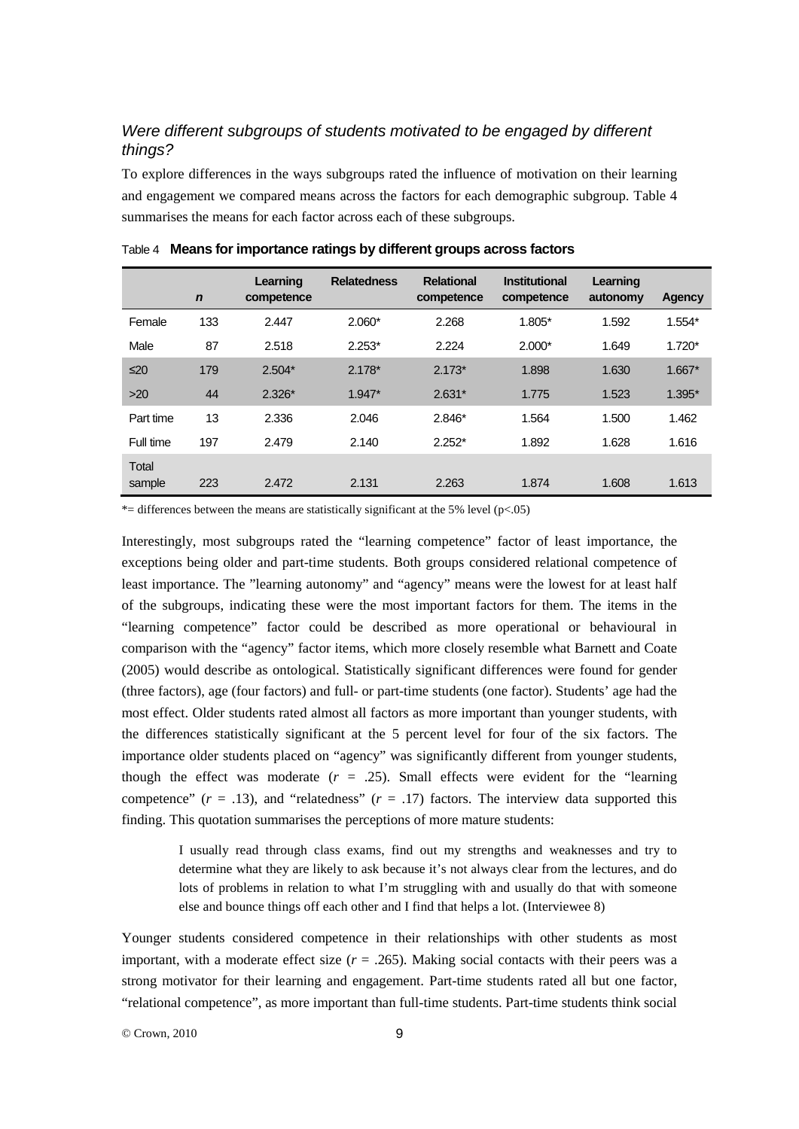## *Were different subgroups of students motivated to be engaged by different things?*

To explore differences in the ways subgroups rated the influence of motivation on their learning and engagement we compared means across the factors for each demographic subgroup. Table 4 summarises the means for each factor across each of these subgroups.

|                 | $\mathbf n$ | Learning<br>competence | <b>Relatedness</b> | <b>Relational</b><br>competence | <b>Institutional</b><br>competence | Learning<br>autonomy | Agency   |
|-----------------|-------------|------------------------|--------------------|---------------------------------|------------------------------------|----------------------|----------|
| Female          | 133         | 2.447                  | $2.060*$           | 2.268                           | 1.805*                             | 1.592                | $1.554*$ |
| Male            | 87          | 2.518                  | $2.253*$           | 2.224                           | $2.000*$                           | 1.649                | $1.720*$ |
| $\leq 20$       | 179         | $2.504*$               | $2.178*$           | $2.173*$                        | 1.898                              | 1.630                | $1.667*$ |
| $>20$           | 44          | $2.326*$               | $1.947*$           | $2.631*$                        | 1.775                              | 1.523                | $1.395*$ |
| Part time       | 13          | 2.336                  | 2.046              | $2.846*$                        | 1.564                              | 1.500                | 1.462    |
| Full time       | 197         | 2.479                  | 2.140              | $2.252*$                        | 1.892                              | 1.628                | 1.616    |
| Total<br>sample | 223         | 2.472                  | 2.131              | 2.263                           | 1.874                              | 1.608                | 1.613    |

Table 4 **Means for importance ratings by different groups across factors**

\*= differences between the means are statistically significant at the 5% level  $(p<.05)$ 

Interestingly, most subgroups rated the "learning competence" factor of least importance, the exceptions being older and part-time students. Both groups considered relational competence of least importance. The "learning autonomy" and "agency" means were the lowest for at least half of the subgroups, indicating these were the most important factors for them. The items in the "learning competence" factor could be described as more operational or behavioural in comparison with the "agency" factor items, which more closely resemble what Barnett and Coate (2005) would describe as ontological. Statistically significant differences were found for gender (three factors), age (four factors) and full- or part-time students (one factor). Students' age had the most effect. Older students rated almost all factors as more important than younger students, with the differences statistically significant at the 5 percent level for four of the six factors. The importance older students placed on "agency" was significantly different from younger students, though the effect was moderate  $(r = .25)$ . Small effects were evident for the "learning" competence"  $(r = .13)$ , and "relatedness"  $(r = .17)$  factors. The interview data supported this finding. This quotation summarises the perceptions of more mature students:

> I usually read through class exams, find out my strengths and weaknesses and try to determine what they are likely to ask because it's not always clear from the lectures, and do lots of problems in relation to what I'm struggling with and usually do that with someone else and bounce things off each other and I find that helps a lot. (Interviewee 8)

Younger students considered competence in their relationships with other students as most important, with a moderate effect size  $(r = .265)$ . Making social contacts with their peers was a strong motivator for their learning and engagement. Part-time students rated all but one factor, "relational competence", as more important than full-time students. Part-time students think social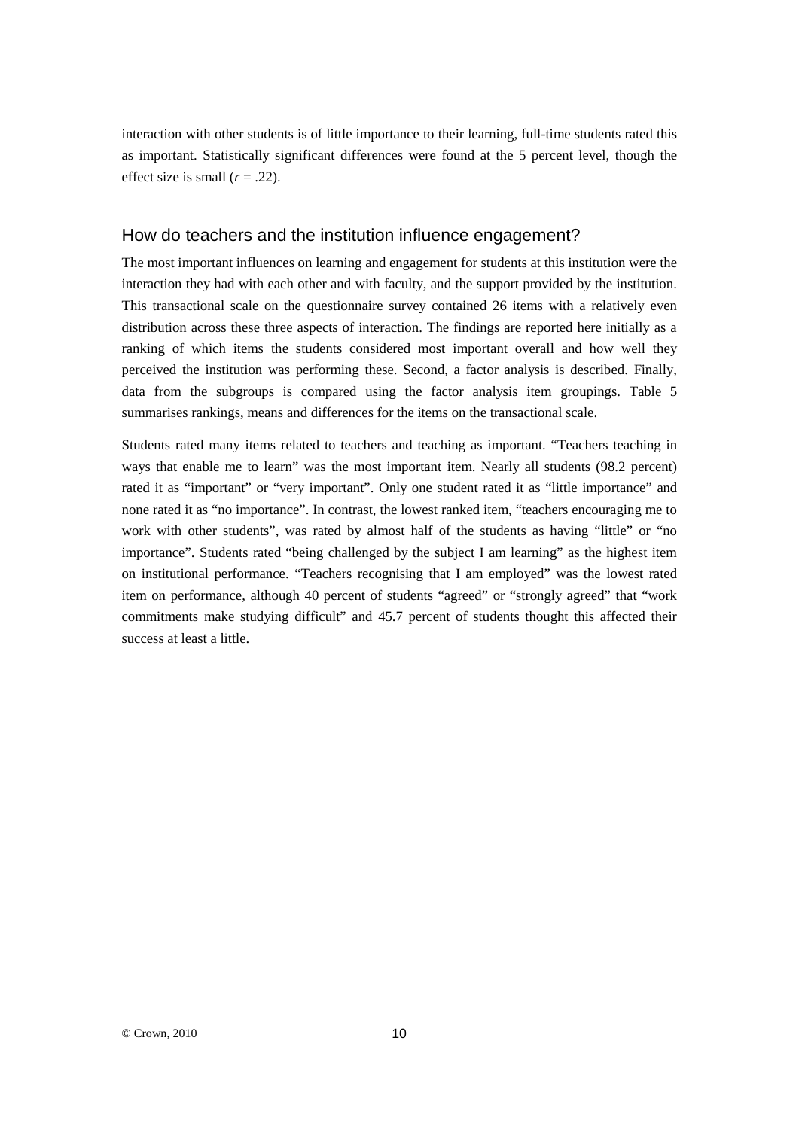interaction with other students is of little importance to their learning, full-time students rated this as important. Statistically significant differences were found at the 5 percent level, though the effect size is small  $(r = .22)$ .

#### How do teachers and the institution influence engagement?

The most important influences on learning and engagement for students at this institution were the interaction they had with each other and with faculty, and the support provided by the institution. This transactional scale on the questionnaire survey contained 26 items with a relatively even distribution across these three aspects of interaction. The findings are reported here initially as a ranking of which items the students considered most important overall and how well they perceived the institution was performing these. Second, a factor analysis is described. Finally, data from the subgroups is compared using the factor analysis item groupings. Table 5 summarises rankings, means and differences for the items on the transactional scale.

Students rated many items related to teachers and teaching as important. "Teachers teaching in ways that enable me to learn" was the most important item. Nearly all students (98.2 percent) rated it as "important" or "very important". Only one student rated it as "little importance" and none rated it as "no importance". In contrast, the lowest ranked item, "teachers encouraging me to work with other students", was rated by almost half of the students as having "little" or "no importance". Students rated "being challenged by the subject I am learning" as the highest item on institutional performance. "Teachers recognising that I am employed" was the lowest rated item on performance, although 40 percent of students "agreed" or "strongly agreed" that "work commitments make studying difficult" and 45.7 percent of students thought this affected their success at least a little.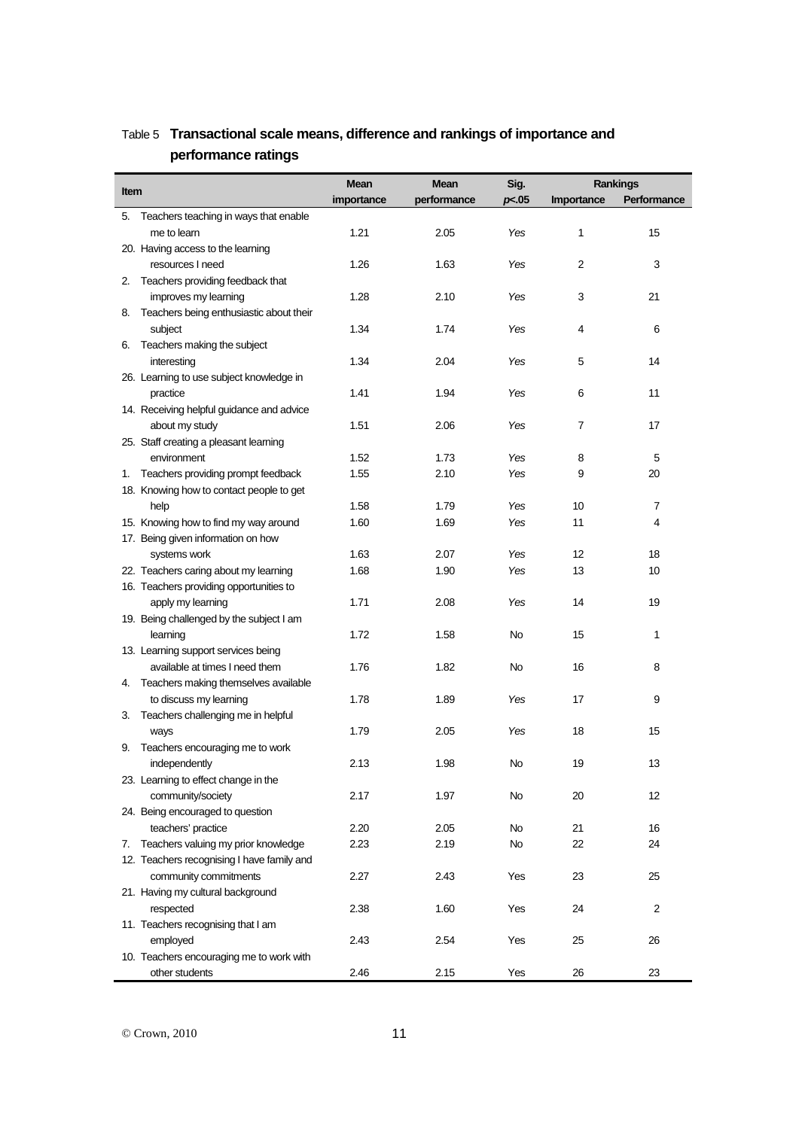|             |                                            | <b>Mean</b><br><b>Mean</b> |             | Sig.  | Rankings   |             |
|-------------|--------------------------------------------|----------------------------|-------------|-------|------------|-------------|
| <b>Item</b> |                                            | importance                 | performance | p<.05 | Importance | Performance |
|             | 5. Teachers teaching in ways that enable   |                            |             |       |            |             |
|             | me to learn                                | 1.21                       | 2.05        | Yes   | 1          | 15          |
|             | 20. Having access to the learning          |                            |             |       |            |             |
|             | resources I need                           | 1.26                       | 1.63        | Yes   | 2          | 3           |
|             | 2. Teachers providing feedback that        |                            |             |       |            |             |
|             | improves my learning                       | 1.28                       | 2.10        | Yes   | 3          | 21          |
| 8.          | Teachers being enthusiastic about their    |                            |             |       |            |             |
|             | subject                                    | 1.34                       | 1.74        | Yes   | 4          | 6           |
|             | 6. Teachers making the subject             |                            |             |       |            |             |
|             | interesting                                | 1.34                       | 2.04        | Yes   | 5          | 14          |
|             | 26. Learning to use subject knowledge in   |                            |             |       |            |             |
|             | practice                                   | 1.41                       | 1.94        | Yes   | 6          | 11          |
|             | 14. Receiving helpful guidance and advice  |                            |             |       |            |             |
|             | about my study                             | 1.51                       | 2.06        | Yes   | 7          | 17          |
|             | 25. Staff creating a pleasant learning     |                            |             |       |            |             |
|             | environment                                | 1.52                       | 1.73        | Yes   | 8          | 5           |
|             | 1. Teachers providing prompt feedback      | 1.55                       | 2.10        | Yes   | 9          | 20          |
|             | 18. Knowing how to contact people to get   |                            |             |       |            |             |
|             | help                                       | 1.58                       | 1.79        | Yes   | 10         | 7           |
|             | 15. Knowing how to find my way around      | 1.60                       | 1.69        | Yes   | 11         | 4           |
|             | 17. Being given information on how         |                            |             |       |            |             |
|             | systems work                               | 1.63                       | 2.07        | Yes   | 12         | 18          |
|             | 22. Teachers caring about my learning      | 1.68                       | 1.90        | Yes   | 13         | 10          |
|             | 16. Teachers providing opportunities to    |                            |             |       |            |             |
|             | apply my learning                          | 1.71                       | 2.08        | Yes   | 14         | 19          |
|             | 19. Being challenged by the subject I am   |                            |             |       |            |             |
|             | learning                                   | 1.72                       | 1.58        | No    | 15         | 1           |
|             | 13. Learning support services being        |                            |             |       |            |             |
|             | available at times I need them             | 1.76                       | 1.82        | No    | 16         | 8           |
|             | 4. Teachers making themselves available    |                            |             |       |            |             |
|             | to discuss my learning                     | 1.78                       | 1.89        | Yes   | 17         | 9           |
|             | 3. Teachers challenging me in helpful      |                            |             |       |            |             |
|             | ways                                       | 1.79                       | 2.05        | Yes   | 18         | 15          |
| 9.          | Teachers encouraging me to work            |                            |             |       |            |             |
|             | independently                              | 2.13                       | 1.98        | No    | 19         | 13          |
|             | 23. Learning to effect change in the       |                            |             |       |            |             |
|             | community/society                          | 2.17                       | 1.97        | No    | 20         | 12          |
|             | 24. Being encouraged to question           |                            |             |       |            |             |
|             | teachers' practice                         | 2.20                       | 2.05        | No    | 21         | 16          |
| 7.          | Teachers valuing my prior knowledge        | 2.23                       | 2.19        | No    | 22         | 24          |
|             | 12. Teachers recognising I have family and |                            |             |       |            |             |
|             | community commitments                      | 2.27                       | 2.43        | Yes   | 23         | 25          |
|             | 21. Having my cultural background          |                            |             |       |            |             |
|             | respected                                  | 2.38                       | 1.60        | Yes   | 24         | 2           |
|             | 11. Teachers recognising that I am         |                            |             |       |            |             |
|             | employed                                   | 2.43                       | 2.54        | Yes   | 25         | 26          |
|             | 10. Teachers encouraging me to work with   |                            |             |       |            |             |
|             | other students                             | 2.46                       | 2.15        | Yes   | 26         | 23          |

# Table 5 **Transactional scale means, difference and rankings of importance and performance ratings**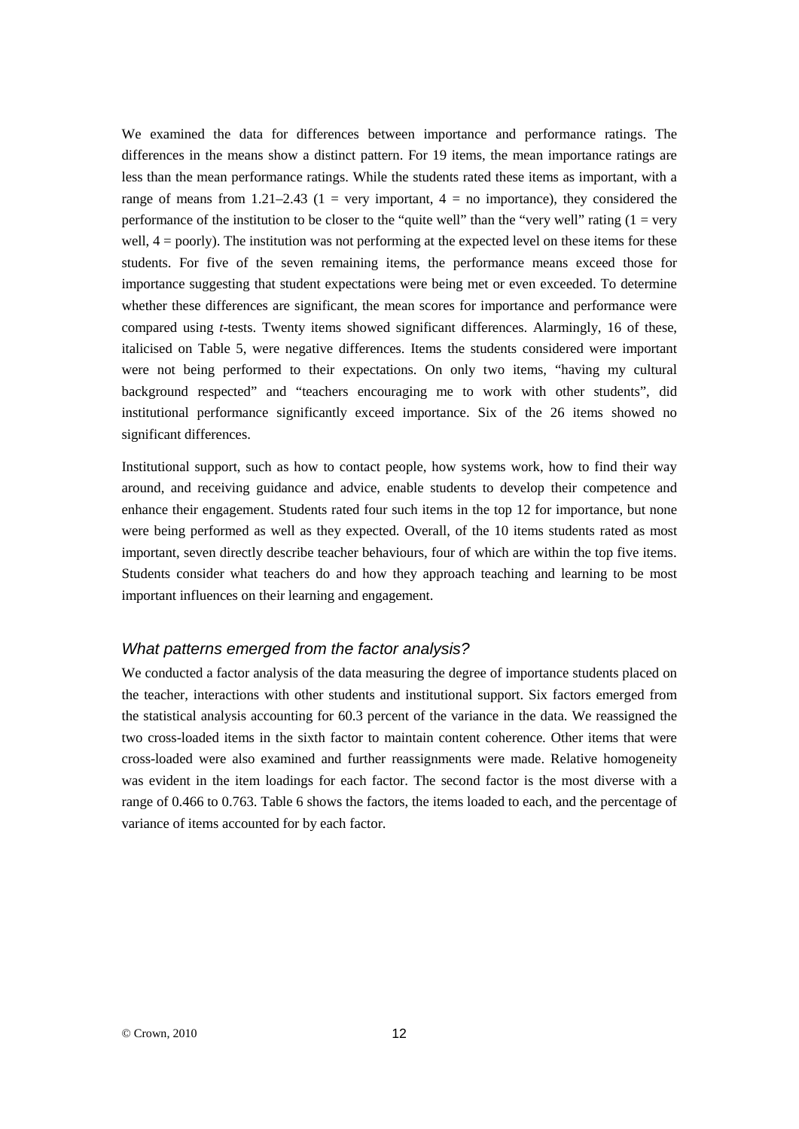We examined the data for differences between importance and performance ratings. The differences in the means show a distinct pattern. For 19 items, the mean importance ratings are less than the mean performance ratings. While the students rated these items as important, with a range of means from 1.21–2.43 (1 = very important,  $4 =$  no importance), they considered the performance of the institution to be closer to the "quite well" than the "very well" rating  $(1 = \text{very}$ well,  $4 =$  poorly). The institution was not performing at the expected level on these items for these students. For five of the seven remaining items, the performance means exceed those for importance suggesting that student expectations were being met or even exceeded. To determine whether these differences are significant, the mean scores for importance and performance were compared using *t*-tests. Twenty items showed significant differences. Alarmingly, 16 of these, italicised on Table 5, were negative differences. Items the students considered were important were not being performed to their expectations. On only two items, "having my cultural background respected" and "teachers encouraging me to work with other students", did institutional performance significantly exceed importance. Six of the 26 items showed no significant differences.

Institutional support, such as how to contact people, how systems work, how to find their way around, and receiving guidance and advice, enable students to develop their competence and enhance their engagement. Students rated four such items in the top 12 for importance, but none were being performed as well as they expected. Overall, of the 10 items students rated as most important, seven directly describe teacher behaviours, four of which are within the top five items. Students consider what teachers do and how they approach teaching and learning to be most important influences on their learning and engagement.

#### *What patterns emerged from the factor analysis?*

We conducted a factor analysis of the data measuring the degree of importance students placed on the teacher, interactions with other students and institutional support. Six factors emerged from the statistical analysis accounting for 60.3 percent of the variance in the data. We reassigned the two cross-loaded items in the sixth factor to maintain content coherence. Other items that were cross-loaded were also examined and further reassignments were made. Relative homogeneity was evident in the item loadings for each factor. The second factor is the most diverse with a range of 0.466 to 0.763. Table 6 shows the factors, the items loaded to each, and the percentage of variance of items accounted for by each factor.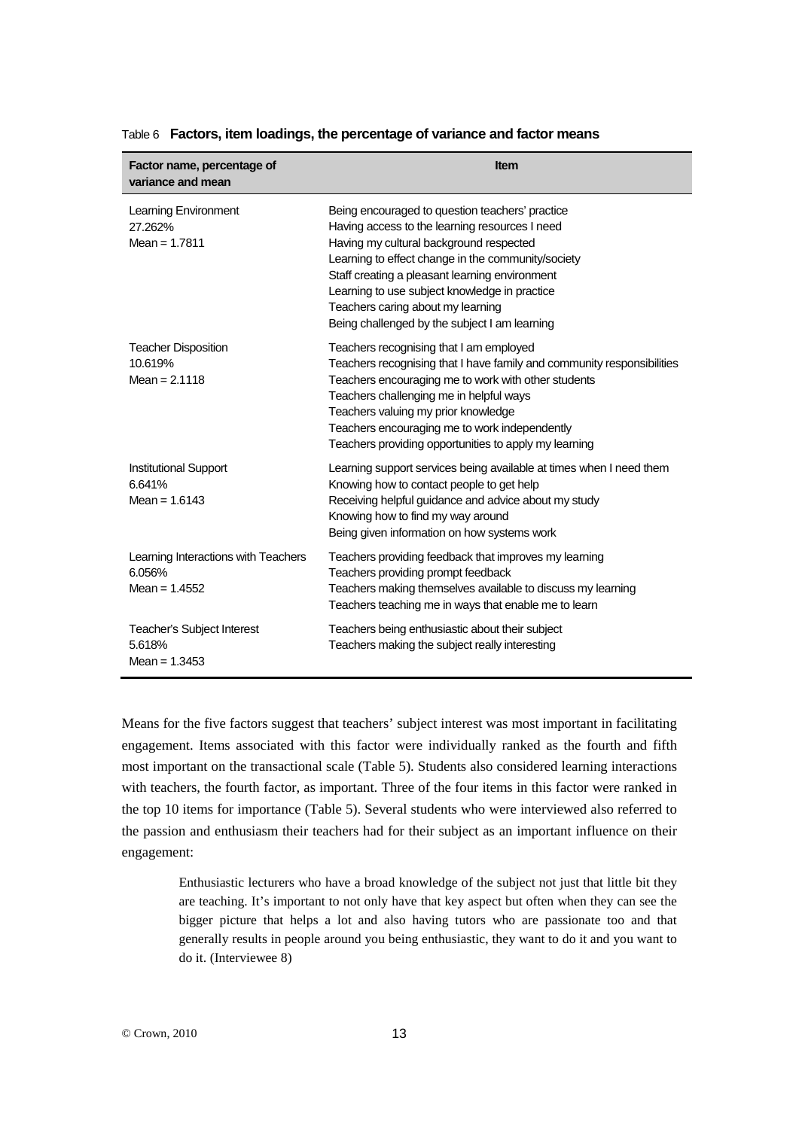| Factor name, percentage of<br>variance and mean                  | <b>Item</b>                                                                                                                                                                                                                                                                                                                                                                                 |
|------------------------------------------------------------------|---------------------------------------------------------------------------------------------------------------------------------------------------------------------------------------------------------------------------------------------------------------------------------------------------------------------------------------------------------------------------------------------|
| Learning Environment<br>27.262%<br>Mean = $1.7811$               | Being encouraged to question teachers' practice<br>Having access to the learning resources I need<br>Having my cultural background respected<br>Learning to effect change in the community/society<br>Staff creating a pleasant learning environment<br>Learning to use subject knowledge in practice<br>Teachers caring about my learning<br>Being challenged by the subject I am learning |
| <b>Teacher Disposition</b><br>10.619%<br>Mean = $2.1118$         | Teachers recognising that I am employed<br>Teachers recognising that I have family and community responsibilities<br>Teachers encouraging me to work with other students<br>Teachers challenging me in helpful ways<br>Teachers valuing my prior knowledge<br>Teachers encouraging me to work independently<br>Teachers providing opportunities to apply my learning                        |
| <b>Institutional Support</b><br>6.641%<br>Mean = $1.6143$        | Learning support services being available at times when I need them<br>Knowing how to contact people to get help<br>Receiving helpful guidance and advice about my study<br>Knowing how to find my way around<br>Being given information on how systems work                                                                                                                                |
| Learning Interactions with Teachers<br>6.056%<br>Mean = $1.4552$ | Teachers providing feedback that improves my learning<br>Teachers providing prompt feedback<br>Teachers making themselves available to discuss my learning<br>Teachers teaching me in ways that enable me to learn                                                                                                                                                                          |
| Teacher's Subject Interest<br>5.618%<br>Mean = $1.3453$          | Teachers being enthusiastic about their subject<br>Teachers making the subject really interesting                                                                                                                                                                                                                                                                                           |

Table 6 **Factors, item loadings, the percentage of variance and factor means**

Means for the five factors suggest that teachers' subject interest was most important in facilitating engagement. Items associated with this factor were individually ranked as the fourth and fifth most important on the transactional scale (Table 5). Students also considered learning interactions with teachers, the fourth factor, as important. Three of the four items in this factor were ranked in the top 10 items for importance (Table 5). Several students who were interviewed also referred to the passion and enthusiasm their teachers had for their subject as an important influence on their engagement:

> Enthusiastic lecturers who have a broad knowledge of the subject not just that little bit they are teaching. It's important to not only have that key aspect but often when they can see the bigger picture that helps a lot and also having tutors who are passionate too and that generally results in people around you being enthusiastic, they want to do it and you want to do it. (Interviewee 8)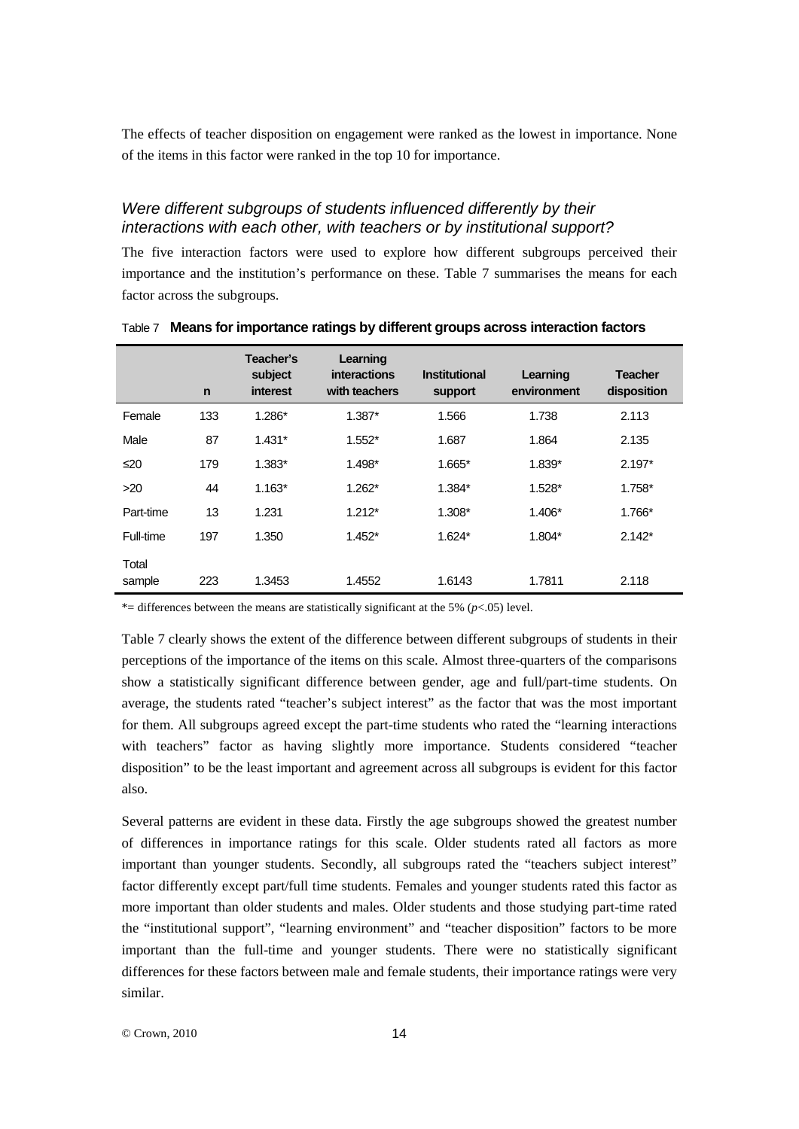The effects of teacher disposition on engagement were ranked as the lowest in importance. None of the items in this factor were ranked in the top 10 for importance.

## *Were different subgroups of students influenced differently by their interactions with each other, with teachers or by institutional support?*

The five interaction factors were used to explore how different subgroups perceived their importance and the institution's performance on these. Table 7 summarises the means for each factor across the subgroups.

|                 | $\mathsf{n}$ | Teacher's<br>subject<br>interest | Learning<br>interactions<br>with teachers | <b>Institutional</b><br>support | Learning<br>environment | <b>Teacher</b><br>disposition |
|-----------------|--------------|----------------------------------|-------------------------------------------|---------------------------------|-------------------------|-------------------------------|
| Female          | 133          | 1.286*                           | $1.387*$                                  | 1.566                           | 1.738                   | 2.113                         |
| Male            | 87           | $1.431*$                         | $1.552*$                                  | 1.687                           | 1.864                   | 2.135                         |
| ≤20             | 179          | $1.383*$                         | 1.498*                                    | 1.665*                          | 1.839*                  | $2.197*$                      |
| $>20$           | 44           | $1.163*$                         | $1.262*$                                  | 1.384*                          | $1.528*$                | $1.758*$                      |
| Part-time       | 13           | 1.231                            | $1.212*$                                  | $1.308*$                        | $1.406*$                | 1.766*                        |
| Full-time       | 197          | 1.350                            | $1.452*$                                  | $1.624*$                        | 1.804*                  | $2.142*$                      |
| Total<br>sample | 223          | 1.3453                           | 1.4552                                    | 1.6143                          | 1.7811                  | 2.118                         |

Table 7 **Means for importance ratings by different groups across interaction factors**

\*= differences between the means are statistically significant at the 5% (*p*<.05) level.

Table 7 clearly shows the extent of the difference between different subgroups of students in their perceptions of the importance of the items on this scale. Almost three-quarters of the comparisons show a statistically significant difference between gender, age and full/part-time students. On average, the students rated "teacher's subject interest" as the factor that was the most important for them. All subgroups agreed except the part-time students who rated the "learning interactions with teachers" factor as having slightly more importance. Students considered "teacher disposition" to be the least important and agreement across all subgroups is evident for this factor also.

Several patterns are evident in these data. Firstly the age subgroups showed the greatest number of differences in importance ratings for this scale. Older students rated all factors as more important than younger students. Secondly, all subgroups rated the "teachers subject interest" factor differently except part/full time students. Females and younger students rated this factor as more important than older students and males. Older students and those studying part-time rated the "institutional support", "learning environment" and "teacher disposition" factors to be more important than the full-time and younger students. There were no statistically significant differences for these factors between male and female students, their importance ratings were very similar.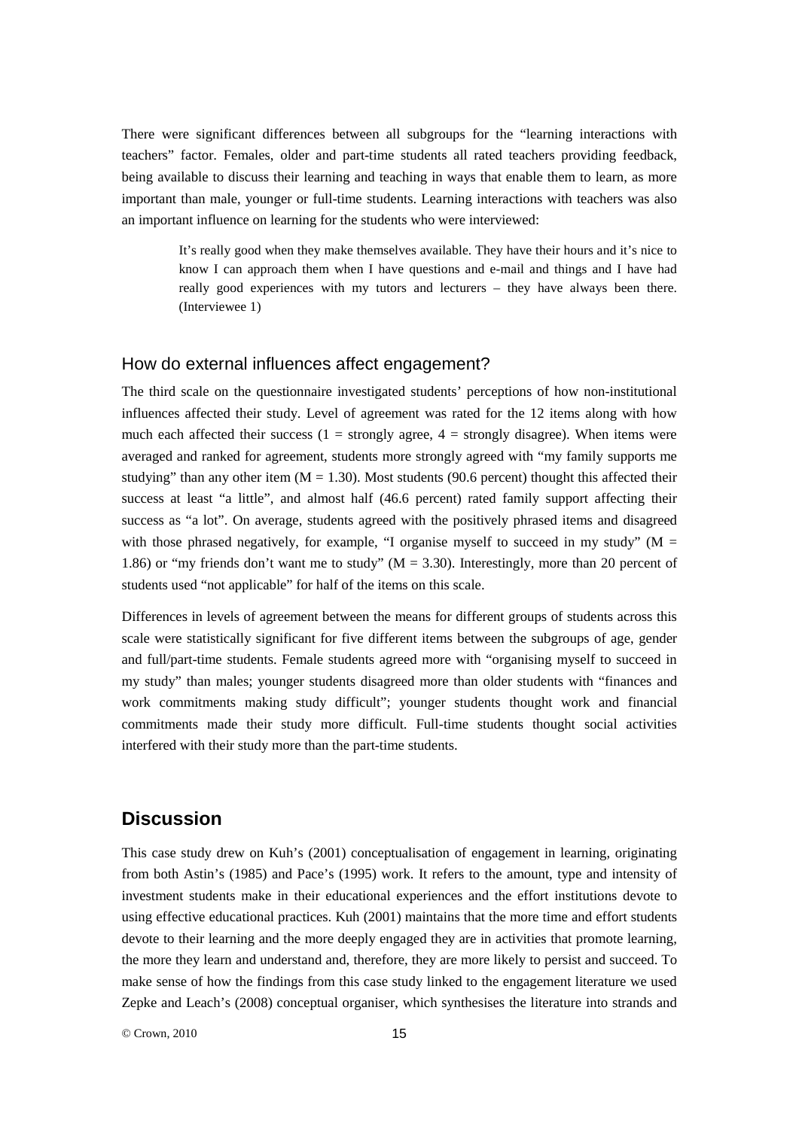There were significant differences between all subgroups for the "learning interactions with teachers" factor. Females, older and part-time students all rated teachers providing feedback, being available to discuss their learning and teaching in ways that enable them to learn, as more important than male, younger or full-time students. Learning interactions with teachers was also an important influence on learning for the students who were interviewed:

> It's really good when they make themselves available. They have their hours and it's nice to know I can approach them when I have questions and e-mail and things and I have had really good experiences with my tutors and lecturers – they have always been there. (Interviewee 1)

### How do external influences affect engagement?

The third scale on the questionnaire investigated students' perceptions of how non-institutional influences affected their study. Level of agreement was rated for the 12 items along with how much each affected their success  $(1 =$  strongly agree,  $4 =$  strongly disagree). When items were averaged and ranked for agreement, students more strongly agreed with "my family supports me studying" than any other item  $(M = 1.30)$ . Most students (90.6 percent) thought this affected their success at least "a little", and almost half (46.6 percent) rated family support affecting their success as "a lot". On average, students agreed with the positively phrased items and disagreed with those phrased negatively, for example, "I organise myself to succeed in my study" ( $M =$ 1.86) or "my friends don't want me to study" ( $M = 3.30$ ). Interestingly, more than 20 percent of students used "not applicable" for half of the items on this scale.

Differences in levels of agreement between the means for different groups of students across this scale were statistically significant for five different items between the subgroups of age, gender and full/part-time students. Female students agreed more with "organising myself to succeed in my study" than males; younger students disagreed more than older students with "finances and work commitments making study difficult"; younger students thought work and financial commitments made their study more difficult. Full-time students thought social activities interfered with their study more than the part-time students.

# **Discussion**

This case study drew on Kuh's (2001) conceptualisation of engagement in learning, originating from both Astin's (1985) and Pace's (1995) work. It refers to the amount, type and intensity of investment students make in their educational experiences and the effort institutions devote to using effective educational practices. Kuh (2001) maintains that the more time and effort students devote to their learning and the more deeply engaged they are in activities that promote learning, the more they learn and understand and, therefore, they are more likely to persist and succeed. To make sense of how the findings from this case study linked to the engagement literature we used Zepke and Leach's (2008) conceptual organiser, which synthesises the literature into strands and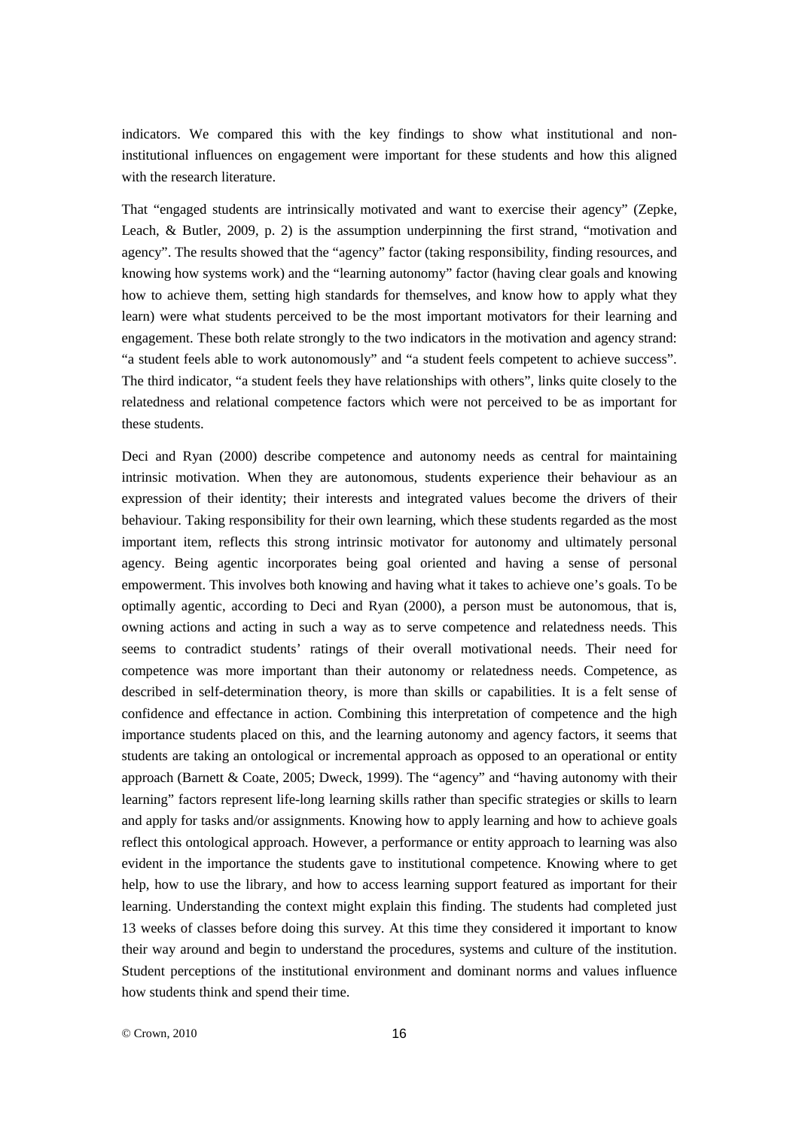indicators. We compared this with the key findings to show what institutional and noninstitutional influences on engagement were important for these students and how this aligned with the research literature.

That "engaged students are intrinsically motivated and want to exercise their agency" (Zepke, Leach, & Butler, 2009, p. 2) is the assumption underpinning the first strand, "motivation and agency". The results showed that the "agency" factor (taking responsibility, finding resources, and knowing how systems work) and the "learning autonomy" factor (having clear goals and knowing how to achieve them, setting high standards for themselves, and know how to apply what they learn) were what students perceived to be the most important motivators for their learning and engagement. These both relate strongly to the two indicators in the motivation and agency strand: "a student feels able to work autonomously" and "a student feels competent to achieve success". The third indicator, "a student feels they have relationships with others", links quite closely to the relatedness and relational competence factors which were not perceived to be as important for these students.

Deci and Ryan (2000) describe competence and autonomy needs as central for maintaining intrinsic motivation. When they are autonomous, students experience their behaviour as an expression of their identity; their interests and integrated values become the drivers of their behaviour. Taking responsibility for their own learning, which these students regarded as the most important item, reflects this strong intrinsic motivator for autonomy and ultimately personal agency. Being agentic incorporates being goal oriented and having a sense of personal empowerment. This involves both knowing and having what it takes to achieve one's goals. To be optimally agentic, according to Deci and Ryan (2000), a person must be autonomous, that is, owning actions and acting in such a way as to serve competence and relatedness needs. This seems to contradict students' ratings of their overall motivational needs. Their need for competence was more important than their autonomy or relatedness needs. Competence, as described in self-determination theory, is more than skills or capabilities. It is a felt sense of confidence and effectance in action. Combining this interpretation of competence and the high importance students placed on this, and the learning autonomy and agency factors, it seems that students are taking an ontological or incremental approach as opposed to an operational or entity approach (Barnett & Coate, 2005; Dweck, 1999). The "agency" and "having autonomy with their learning" factors represent life-long learning skills rather than specific strategies or skills to learn and apply for tasks and/or assignments. Knowing how to apply learning and how to achieve goals reflect this ontological approach. However, a performance or entity approach to learning was also evident in the importance the students gave to institutional competence. Knowing where to get help, how to use the library, and how to access learning support featured as important for their learning. Understanding the context might explain this finding. The students had completed just 13 weeks of classes before doing this survey. At this time they considered it important to know their way around and begin to understand the procedures, systems and culture of the institution. Student perceptions of the institutional environment and dominant norms and values influence how students think and spend their time.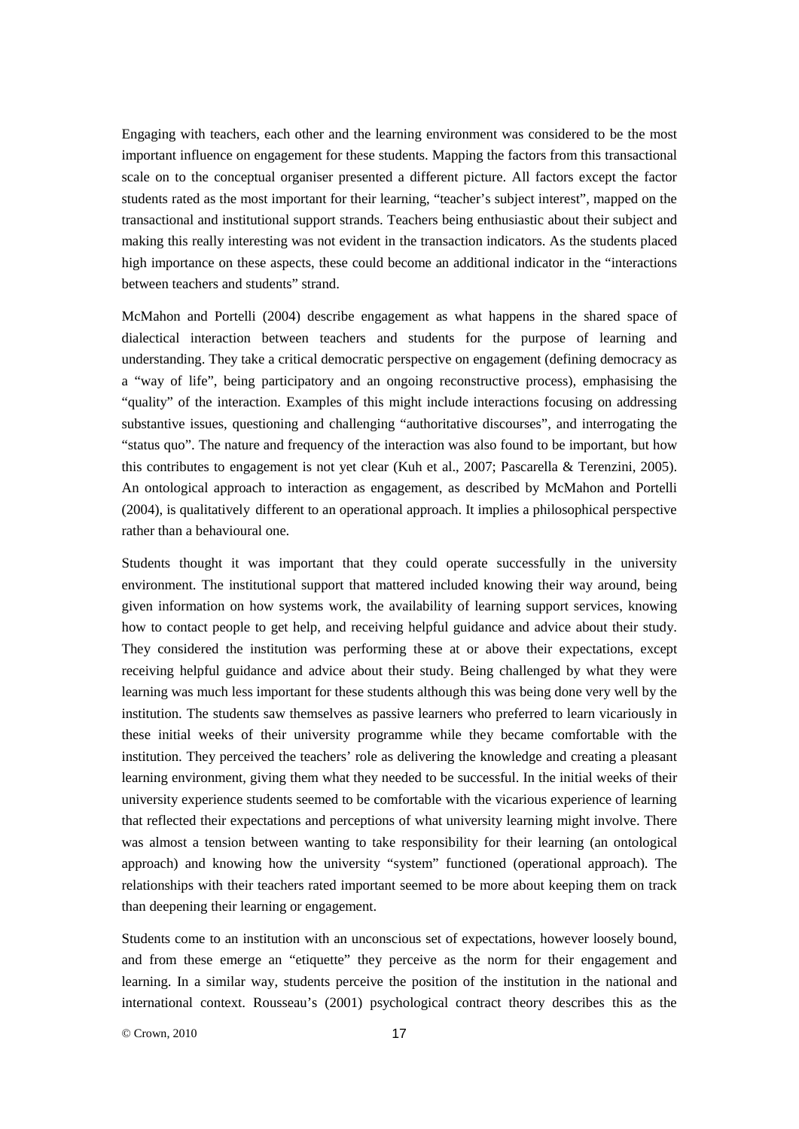Engaging with teachers, each other and the learning environment was considered to be the most important influence on engagement for these students. Mapping the factors from this transactional scale on to the conceptual organiser presented a different picture. All factors except the factor students rated as the most important for their learning, "teacher's subject interest", mapped on the transactional and institutional support strands. Teachers being enthusiastic about their subject and making this really interesting was not evident in the transaction indicators. As the students placed high importance on these aspects, these could become an additional indicator in the "interactions between teachers and students" strand.

McMahon and Portelli (2004) describe engagement as what happens in the shared space of dialectical interaction between teachers and students for the purpose of learning and understanding. They take a critical democratic perspective on engagement (defining democracy as a "way of life", being participatory and an ongoing reconstructive process), emphasising the "quality" of the interaction. Examples of this might include interactions focusing on addressing substantive issues, questioning and challenging "authoritative discourses", and interrogating the "status quo". The nature and frequency of the interaction was also found to be important, but how this contributes to engagement is not yet clear (Kuh et al., 2007; Pascarella & Terenzini, 2005). An ontological approach to interaction as engagement, as described by McMahon and Portelli (2004), is qualitatively different to an operational approach. It implies a philosophical perspective rather than a behavioural one.

Students thought it was important that they could operate successfully in the university environment. The institutional support that mattered included knowing their way around, being given information on how systems work, the availability of learning support services, knowing how to contact people to get help, and receiving helpful guidance and advice about their study. They considered the institution was performing these at or above their expectations, except receiving helpful guidance and advice about their study. Being challenged by what they were learning was much less important for these students although this was being done very well by the institution. The students saw themselves as passive learners who preferred to learn vicariously in these initial weeks of their university programme while they became comfortable with the institution. They perceived the teachers' role as delivering the knowledge and creating a pleasant learning environment, giving them what they needed to be successful. In the initial weeks of their university experience students seemed to be comfortable with the vicarious experience of learning that reflected their expectations and perceptions of what university learning might involve. There was almost a tension between wanting to take responsibility for their learning (an ontological approach) and knowing how the university "system" functioned (operational approach). The relationships with their teachers rated important seemed to be more about keeping them on track than deepening their learning or engagement.

Students come to an institution with an unconscious set of expectations, however loosely bound, and from these emerge an "etiquette" they perceive as the norm for their engagement and learning. In a similar way, students perceive the position of the institution in the national and international context. Rousseau's (2001) psychological contract theory describes this as the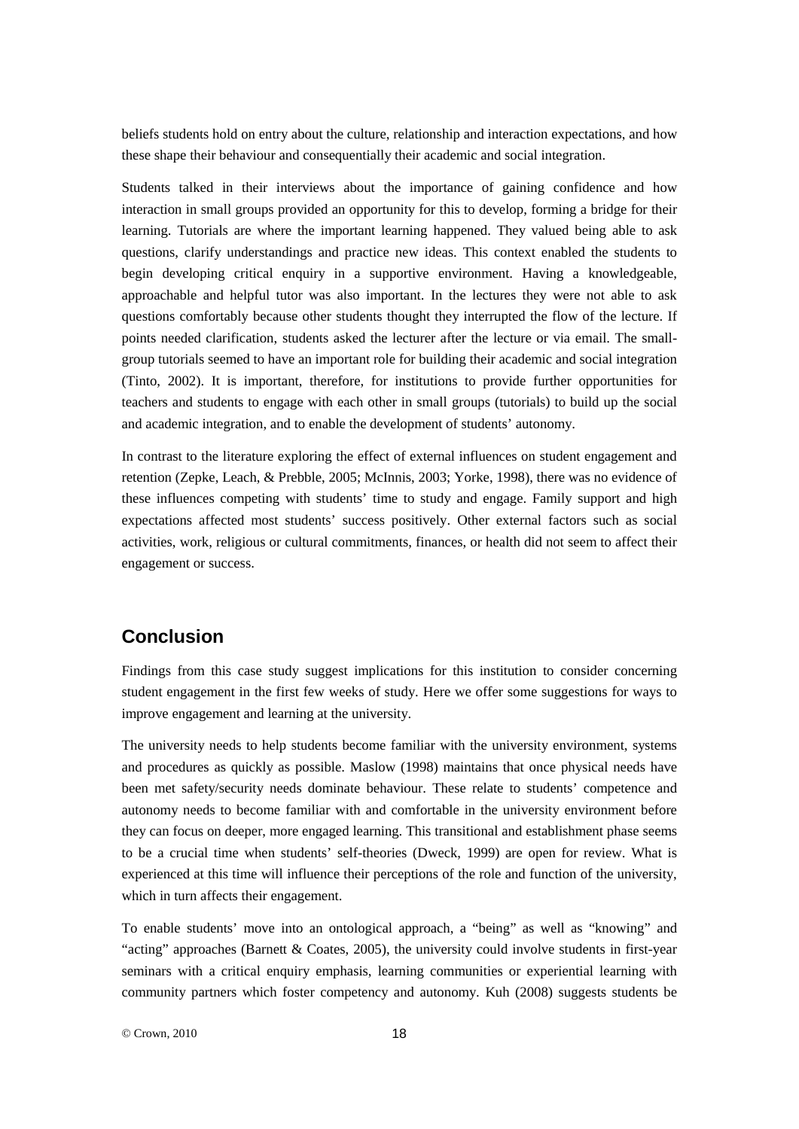beliefs students hold on entry about the culture, relationship and interaction expectations, and how these shape their behaviour and consequentially their academic and social integration.

Students talked in their interviews about the importance of gaining confidence and how interaction in small groups provided an opportunity for this to develop, forming a bridge for their learning. Tutorials are where the important learning happened. They valued being able to ask questions, clarify understandings and practice new ideas. This context enabled the students to begin developing critical enquiry in a supportive environment. Having a knowledgeable, approachable and helpful tutor was also important. In the lectures they were not able to ask questions comfortably because other students thought they interrupted the flow of the lecture. If points needed clarification, students asked the lecturer after the lecture or via email. The smallgroup tutorials seemed to have an important role for building their academic and social integration (Tinto, 2002). It is important, therefore, for institutions to provide further opportunities for teachers and students to engage with each other in small groups (tutorials) to build up the social and academic integration, and to enable the development of students' autonomy.

In contrast to the literature exploring the effect of external influences on student engagement and retention (Zepke, Leach, & Prebble, 2005; McInnis, 2003; Yorke, 1998), there was no evidence of these influences competing with students' time to study and engage. Family support and high expectations affected most students' success positively. Other external factors such as social activities, work, religious or cultural commitments, finances, or health did not seem to affect their engagement or success.

# **Conclusion**

Findings from this case study suggest implications for this institution to consider concerning student engagement in the first few weeks of study. Here we offer some suggestions for ways to improve engagement and learning at the university.

The university needs to help students become familiar with the university environment, systems and procedures as quickly as possible. Maslow (1998) maintains that once physical needs have been met safety/security needs dominate behaviour. These relate to students' competence and autonomy needs to become familiar with and comfortable in the university environment before they can focus on deeper, more engaged learning. This transitional and establishment phase seems to be a crucial time when students' self-theories (Dweck, 1999) are open for review. What is experienced at this time will influence their perceptions of the role and function of the university, which in turn affects their engagement.

To enable students' move into an ontological approach, a "being" as well as "knowing" and "acting" approaches (Barnett & Coates, 2005), the university could involve students in first-year seminars with a critical enquiry emphasis, learning communities or experiential learning with community partners which foster competency and autonomy. Kuh (2008) suggests students be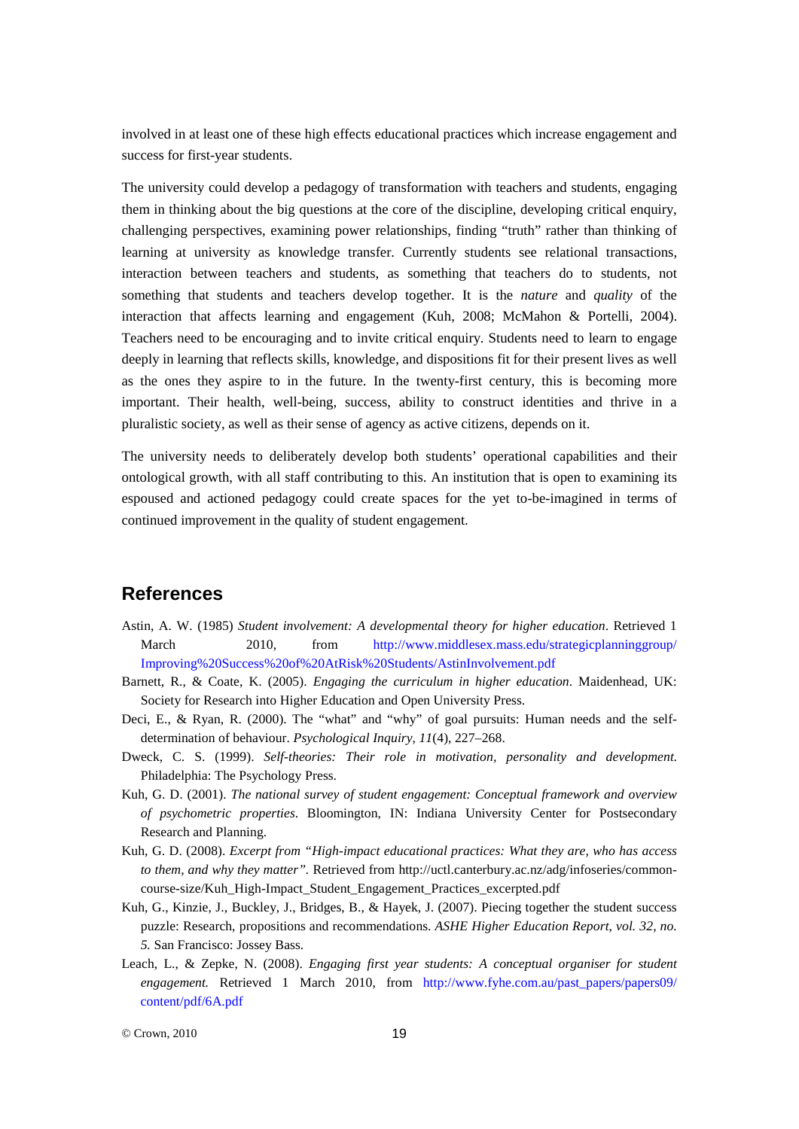involved in at least one of these high effects educational practices which increase engagement and success for first-year students.

The university could develop a pedagogy of transformation with teachers and students, engaging them in thinking about the big questions at the core of the discipline, developing critical enquiry, challenging perspectives, examining power relationships, finding "truth" rather than thinking of learning at university as knowledge transfer. Currently students see relational transactions, interaction between teachers and students, as something that teachers do to students, not something that students and teachers develop together. It is the *nature* and *quality* of the interaction that affects learning and engagement (Kuh, 2008; McMahon & Portelli, 2004). Teachers need to be encouraging and to invite critical enquiry. Students need to learn to engage deeply in learning that reflects skills, knowledge, and dispositions fit for their present lives as well as the ones they aspire to in the future. In the twenty-first century, this is becoming more important. Their health, well-being, success, ability to construct identities and thrive in a pluralistic society, as well as their sense of agency as active citizens, depends on it.

The university needs to deliberately develop both students' operational capabilities and their ontological growth, with all staff contributing to this. An institution that is open to examining its espoused and actioned pedagogy could create spaces for the yet to-be-imagined in terms of continued improvement in the quality of student engagement.

# **References**

- Astin, A. W. (1985) *Student involvement: A developmental theory for higher education*. Retrieved 1 March 2010, from [http://www.middlesex.mass.edu/strategicplanninggroup/](http://www.middlesex.mass.edu/strategicplanninggroup/%0bImproving%20Success%20of%20AtRisk%20Students/AstinInvolvement.pdf) [Improving%20Success%20of%20AtRisk%20Students/AstinInvolvement.pdf](http://www.middlesex.mass.edu/strategicplanninggroup/%0bImproving%20Success%20of%20AtRisk%20Students/AstinInvolvement.pdf)
- Barnett, R., & Coate, K. (2005). *Engaging the curriculum in higher education*. Maidenhead, UK: Society for Research into Higher Education and Open University Press.
- Deci, E., & Ryan, R. (2000). The "what" and "why" of goal pursuits: Human needs and the selfdetermination of behaviour. *Psychological Inquiry*, *11*(4), 227–268.
- Dweck, C. S. (1999). *Self-theories: Their role in motivation, personality and development*. Philadelphia: The Psychology Press.
- Kuh, G. D. (2001). *The national survey of student engagement: Conceptual framework and overview of psychometric properties*. Bloomington, IN: Indiana University Center for Postsecondary Research and Planning.
- Kuh, G. D. (2008). *Excerpt from "High-impact educational practices: What they are, who has access to them, and why they matter".* Retrieved from [http://uctl.canterbury.ac.nz/adg/infoseries/common](http://uctl.canterbury.ac.nz/adg/infoseries/common-course-size/Kuh_High-Impact_Student_Engagement_Practices_excerpted.pdf)[course-size/Kuh\\_High-Impact\\_Student\\_Engagement\\_Practices\\_excerpted.pdf](http://uctl.canterbury.ac.nz/adg/infoseries/common-course-size/Kuh_High-Impact_Student_Engagement_Practices_excerpted.pdf)
- Kuh, G., Kinzie, J., Buckley, J., Bridges, B., & Hayek, J. (2007). Piecing together the student success puzzle: Research, propositions and recommendations. *ASHE Higher Education Report*, *vol. 32, no. 5.* San Francisco: Jossey Bass.
- Leach, L., & Zepke, N. (2008). *Engaging first year students: A conceptual organiser for student engagement.* Retrieved 1 March 2010, from [http://www.fyhe.com.au/past\\_papers/papers09/](http://www.fyhe.com.au/past_papers/papers09/%0bcontent/pdf/6A.pdf) [content/pdf/6A.pdf](http://www.fyhe.com.au/past_papers/papers09/%0bcontent/pdf/6A.pdf)

© Crown, 2010 19